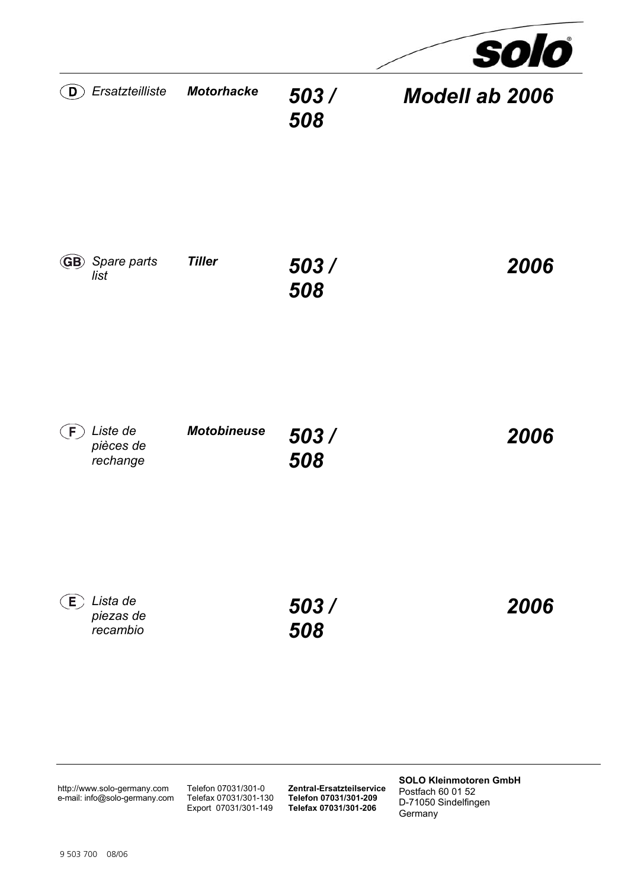

http://www.solo-germany.com e-mail: info@solo-germany.com Telefon 07031/301-0 Telefax 07031/301-130 Export 07031/301-149 **Zentral-Ersatzteilservice Telefon 07031/301-209 Telefax 07031/301-206**

**SOLO Kleinmotoren GmbH**  Postfach 60 01 52 D-71050 Sindelfingen Germany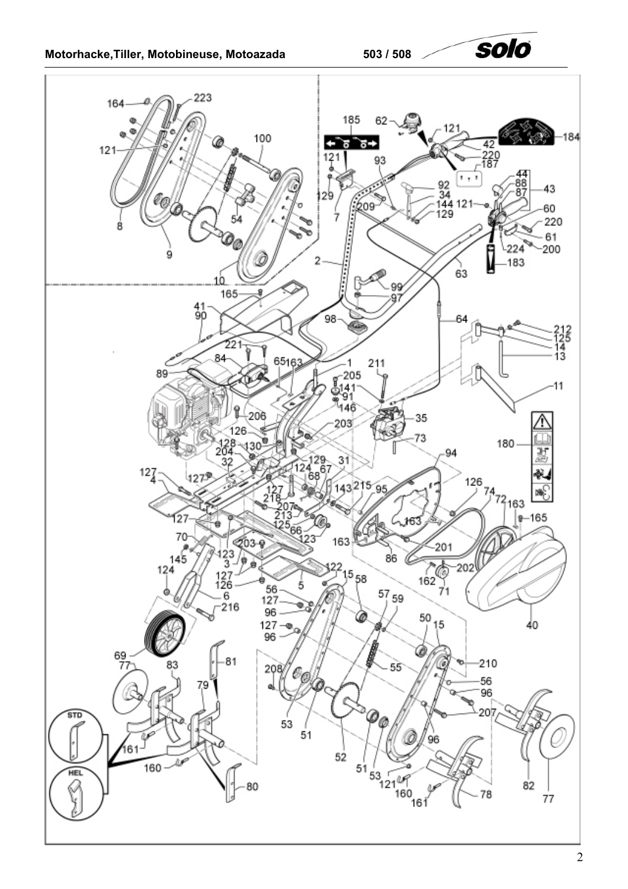

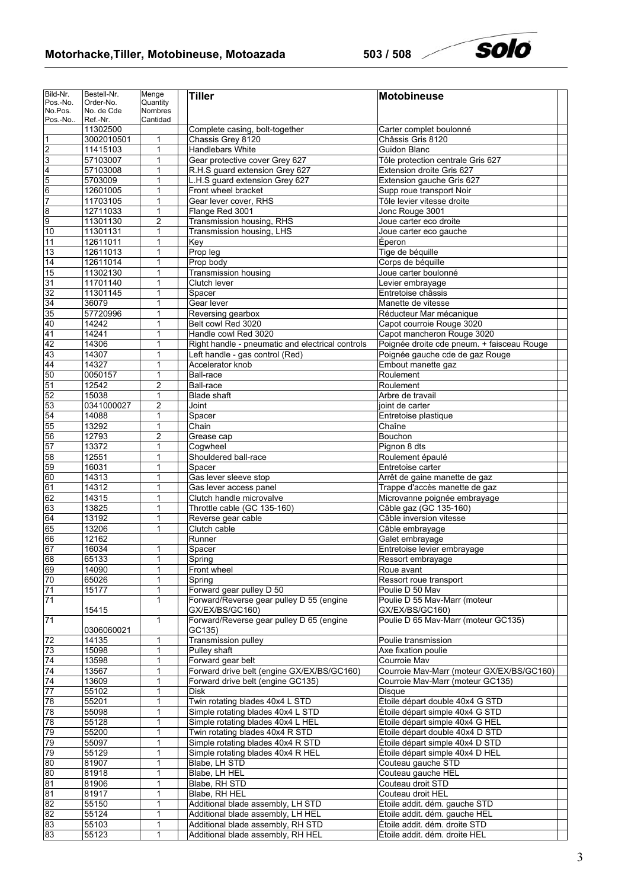## **Motorhacke,Tiller, Motobineuse, Motoazada 503 / 508**

solo

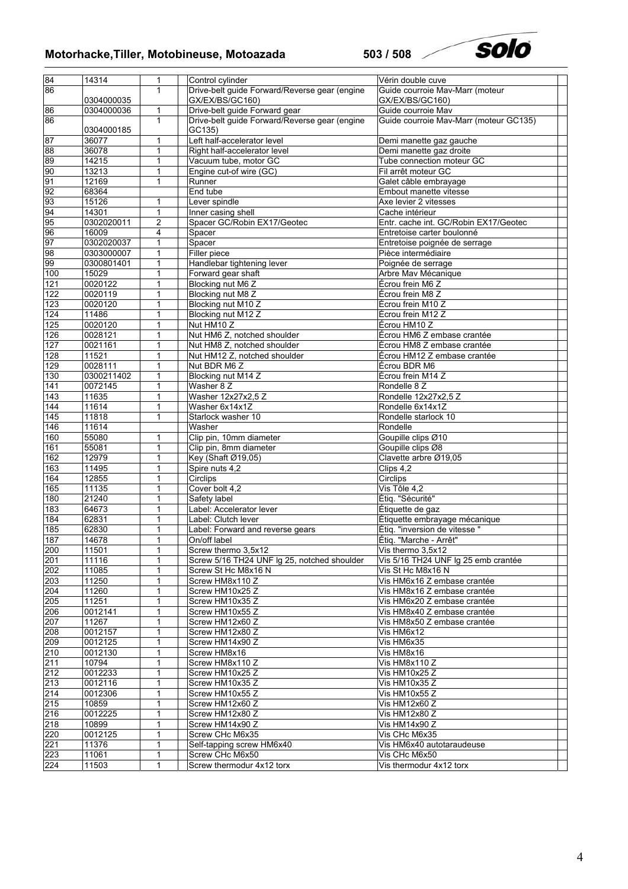# **Motorhacke,Tiller, Motobineuse, Motoazada 503 / 508**



| 84<br>86          | 14314      | 1              | Control cylinder                              | Vérin double cuve                      |
|-------------------|------------|----------------|-----------------------------------------------|----------------------------------------|
|                   |            | 1              | Drive-belt guide Forward/Reverse gear (engine | Guide courroie Mav-Marr (moteur        |
|                   | 0304000035 |                | GX/EX/BS/GC160)                               | GX/EX/BS/GC160)                        |
| 86                | 0304000036 | 1              | Drive-belt guide Forward gear                 | Guide courroie Mav                     |
| 86                |            | 1              | Drive-belt guide Forward/Reverse gear (engine | Guide courroie Mav-Marr (moteur GC135) |
|                   | 0304000185 |                | GC135)                                        |                                        |
| 87                | 36077      | 1              | Left half-accelerator level                   | Demi manette gaz gauche                |
| 88                | 36078      | 1              | Right half-accelerator level                  | Demi manette gaz droite                |
|                   |            |                |                                               |                                        |
| $\frac{89}{90}$   | 14215      | 1              | Vacuum tube, motor GC                         | Tube connection moteur GC              |
|                   | 13213      | 1              | Engine cut-of wire (GC)                       | Fil arrêt moteur GC                    |
| 91                | 12169      | 1              | Runner                                        | Galet câble embrayage                  |
| 92                | 68364      |                | End tube                                      | Embout manette vitesse                 |
| 93                | 15126      | 1              | Lever spindle                                 | Axe levier 2 vitesses                  |
| $\frac{94}{95}$   | 14301      | 1              | Inner casing shell                            | Cache intérieur                        |
|                   | 0302020011 | $\overline{c}$ | Spacer GC/Robin EX17/Geotec                   | Entr. cache int. GC/Robin EX17/Geotec  |
| 96                | 16009      | 4              | Spacer                                        | Entretoise carter boulonné             |
|                   | 0302020037 | 1              | Spacer                                        | Entretoise poignée de serrage          |
| $\frac{97}{98}$   | 0303000007 | 1              | Filler piece                                  | Pièce intermédiaire                    |
| 99                | 0300801401 | 1              | Handlebar tightening lever                    | Poignée de serrage                     |
|                   |            |                |                                               |                                        |
| 100               | 15029      | 1              | Forward gear shaft                            | Arbre Mav Mécanique                    |
| 121               | 0020122    | 1              | Blocking nut M6 Z                             | Écrou frein M6 Z                       |
| 122               | 0020119    | 1              | Blocking nut M8 Z                             | Écrou frein M8 Z                       |
| 123               | 0020120    | 1              | Blocking nut M10 Z                            | Écrou frein M10 Z                      |
| 124               | 11486      | 1              | Blocking nut M12 Z                            | Écrou frein M12 Z                      |
| 125               | 0020120    | 1              | Nut HM10 Z                                    | Écrou HM10 Z                           |
| 126               | 0028121    | 1              | Nut HM6 Z, notched shoulder                   | Écrou HM6 Z embase crantée             |
| 127               | 0021161    | 1              | Nut HM8 Z, notched shoulder                   | Écrou HM8 Z embase crantée             |
| 128               | 11521      | 1              | Nut HM12 Z, notched shoulder                  | Écrou HM12 Z embase crantée            |
| 129               | 0028111    | 1              | Nut BDR M6 Z                                  | Écrou BDR M6                           |
| 130               | 0300211402 | 1              | Blocking nut M14 Z                            | Écrou frein M14 Z                      |
|                   |            |                |                                               |                                        |
| $141$             | 0072145    | 1              | Washer 8 Z                                    | Rondelle 8 Z                           |
| 143               | 11635      | 1              | Washer 12x27x2,5 Z                            | Rondelle 12x27x2,5 Z                   |
| 144               | 11614      | 1              | Washer 6x14x1Z                                | Rondelle 6x14x1Z                       |
| 145               | 11818      | 1              | Starlock washer 10                            | Rondelle starlock 10                   |
| 146               | 11614      |                | Washer                                        | Rondelle                               |
| 160               | 55080      | 1              | Clip pin, 10mm diameter                       | Goupille clips Ø10                     |
| 161               | 55081      | 1              | Clip pin, 8mm diameter                        | Goupille clips Ø8                      |
| 162               | 12979      | 1              | Key (Shaft Ø19,05)                            | Clavette arbre Ø19,05                  |
| 163               | 11495      | 1              | Spire nuts 4,2                                | Clips 4,2                              |
| 164               | 12855      | 1              | Circlips                                      | Circlips                               |
| 165               | 11135      | 1              | Cover bolt 4.2                                | Vis Tôle 4,2                           |
| 180               | 21240      | 1              | Safety label                                  | Étiq. "Sécurité"                       |
|                   |            |                |                                               |                                        |
| 183               | 64673      | 1              | Label: Accelerator lever                      | Étiquette de gaz                       |
| 184               | 62831      | 1              | Label: Clutch lever                           | Étiquette embrayage mécanique          |
| 185               | 62830      | 1              | Label: Forward and reverse gears              | Étiq. "inversion de vitesse"           |
| 187               | 14678      | 1              | On/off label                                  | Étiq. "Marche - Arrêt"                 |
| 200               | 11501      | 1              | Screw thermo 3,5x12                           | Vis thermo 3,5x12                      |
| 201               | 11116      | 1              | Screw 5/16 TH24 UNF Ig 25, notched shoulder   | Vis 5/16 TH24 UNF Ig 25 emb crantée    |
| 202               | 11085      | 1              | Screw St Hc M8x16 N                           | Vis St Hc M8x16 N                      |
| 203               | 11250      | 1              | Screw HM8x110 Z                               | Vis HM6x16 Z embase crantée            |
| 204               | 11260      | 1              | Screw HM10x25 Z                               | Vis HM8x16 Z embase crantée            |
| 205               | 11251      | 1              | Screw HM10x35 Z                               | Vis HM6x20 Z embase crantée            |
| 206               | 0012141    | 1              | Screw HM10x55 Z                               | Vis HM8x40 Z embase crantée            |
| 207               |            |                |                                               |                                        |
|                   | 11267      | 1              | Screw HM12x60 Z                               | Vis HM8x50 Z embase crantée            |
| 208               | 0012157    | 1              | Screw HM12x80 Z                               | Vis HM6x12                             |
| 209               | 0012125    | 1              | Screw HM14x90 Z                               | Vis HM6x35                             |
| 210               | 0012130    | 1              | Screw HM8x16                                  | Vis HM8x16                             |
| 211               | 10794      | 1              | Screw HM8x110 Z                               | Vis HM8x110 Z                          |
| $\frac{212}{213}$ | 0012233    | 1              | Screw HM10x25 Z                               | Vis HM10x25 Z                          |
|                   | 0012116    | 1              | Screw HM10x35 Z                               | Vis HM10x35 Z                          |
| 214               | 0012306    | 1              | Screw HM10x55 Z                               | Vis HM10x55 Z                          |
| 215               | 10859      | 1              | Screw HM12x60 Z                               | Vis HM12x60 Z                          |
| 216               | 0012225    | 1              | Screw HM12x80 Z                               | Vis HM12x80 Z                          |
| 218               | 10899      | 1              | Screw HM14x90 Z                               | Vis HM14x90 Z                          |
| 220               |            |                |                                               |                                        |
|                   | 0012125    | 1              | Screw CHc M6x35                               | Vis CHc M6x35                          |
| 221               | 11376      | 1              | Self-tapping screw HM6x40                     | Vis HM6x40 autotaraudeuse              |
| 223               | 11061      | 1              | Screw CHc M6x50                               | Vis CHc M6x50                          |
| 224               | 11503      | 1              | Screw thermodur 4x12 torx                     | Vis thermodur 4x12 torx                |